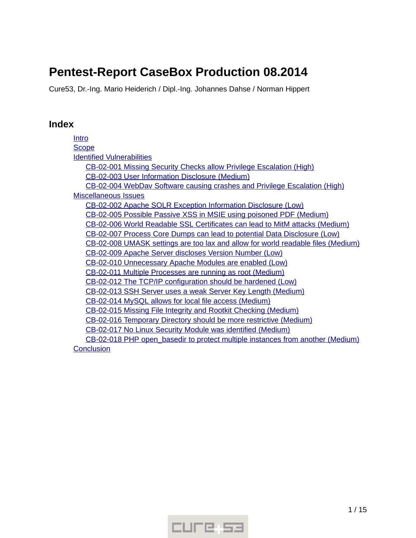# **Pentest-Report CaseBox Production 08.2014**

Cure53, Dr.-Ing. Mario Heiderich / Dipl.-Ing. Johannes Dahse / Norman Hippert

# **Index**

[Intro](#page-1-0) **[Scope](#page-1-1)**  [Identified](#page-2-1) [Vulnerabilities](#page-2-1)  [CB -02-001 Missing Security Checks allow Privilege Escalation \( High\)](#page-2-0)  [CB -02-003 User Information Disclosure \( Medium\)](#page-3-0)  [CB -02-004 WebDav Software causing crashes and Privilege Escalation \( High\)](#page-5-0)  [Miscellaneous](#page-7-2) [Issues](#page-7-2) CB-02-002 Apache SOLR Exception Information Disclosure (Low)  [CB -02-005 Possible Passive XSS in MSIE using poisoned PDF \( Medium\)](#page-7-0)  [CB -02-006 World Readable SSL Certificates can lead to MitM attacks \( Medium\)](#page-8-1)  [CB -02-007 Process Core Dumps can lead to potential Data Disclosure \( Low\)](#page-8-0)  [CB -02-008 UMASK settings are too lax and allow for world readable files \( Medium\)](#page-9-3) CB-02-009 Apache Server discloses Version Number (Low) CB-02-010 Unnecessary Apache Modules are enabled (Low)  [CB -02-011 Multiple Processes are running as root \( Medium\)](#page-9-0) CB-02-012 The TCP/IP configuration should be hardened (Low)  [CB -02-013 SSH Server uses a weak Server Key Length \( Medium\)](#page-10-0)  [CB -02-014 MySQL allows for local file access \( Medium\)](#page-11-2)  [CB -02-015 Missing File Integrity and Rootkit Checking \( Medium\)](#page-11-1)  [CB -02-016 Temporary Directory should be more restrictive \( Medium\)](#page-11-0)  [CB -02-017 No Linux Security Module was identified \( Medium\)](#page-12-1) CB-02-018 PHP open basedir to protect multiple instances from another (Medium) **[Conclusion](#page-13-0)** 

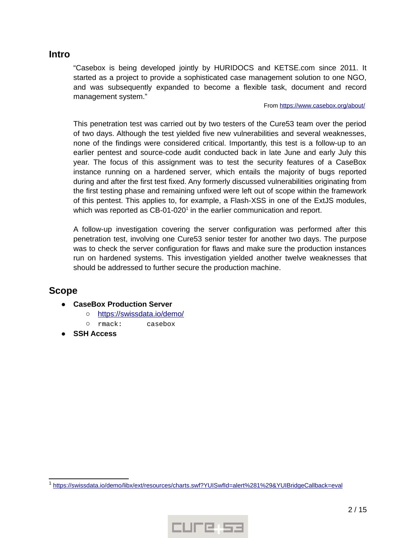## <span id="page-1-0"></span>**Intro**

"Casebox is being developed jointly by HURIDOCS and KETSE.com since 2011. It started as a project to provide a sophisticated case management solution to one NGO, and was subsequently expanded to become a flexible task, document and record management system."

#### From https://www.casebox.org/about/

This penetration test was carried out by two testers of the Cure53 team over the period of two days. Although the test yielded five new vulnerabilities and several weaknesses, none of the findings were considered critical. Importantly, this test is a follow-up to an earlier pentest and source-code audit conducted back in late June and early July this year. The focus of this assignment was to test the security features of a CaseBox instance running on a hardened server, which entails the majority of bugs reported during and after the first test fixed. Any formerly discussed vulnerabilities originating from the first testing phase and remaining unfixed were left out of scope within the framework of this pentest. This applies to, for example, a Flash-XSS in one of the ExtJS modules, which was reported as CB-0[1](#page-1-2)-020 $^{\rm 1}$  in the earlier communication and report.

A follow-up investigation covering the server configuration was performed after this penetration test, involving one Cure53 senior tester for another two days. The purpose was to check the server configuration for flaws and make sure the production instances run on hardened systems. This investigation yielded another twelve weaknesses that should be addressed to further secure the production machine.

# <span id="page-1-1"></span>**Scope**

- **CaseBox Production Server**
	- o https://swissdata.io/demo/
	- rmack: casebox
- **SSH Access**



<span id="page-1-2"></span><sup>&</sup>lt;sup>1</sup> https://swissdata.io/demo/libx/ext/resources/charts.swf?YUISwfId=alert%281%29&YUIBridgeCallback=eval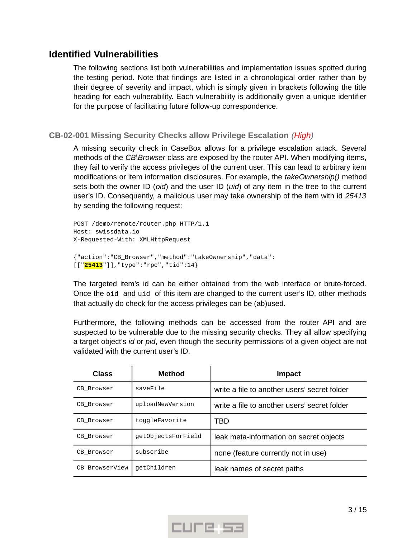# <span id="page-2-1"></span>**Identified Vulnerabilities**

The following sections list both vulnerabilities and implementation issues spotted during the testing period. Note that findings are listed in a chronological order rather than by their degree of severity and impact, which is simply given in brackets following the title heading for each vulnerability. Each vulnerability is additionally given a unique identifier for the purpose of facilitating future follow-up correspondence.

<span id="page-2-0"></span>**CB-02-001 Missing Security Checks allow Privilege Escalation** *(High)*

A missing security check in CaseBox allows for a privilege escalation attack. Several methods of the *CB\Browser* class are exposed by the router API. When modifying items, they fail to verify the access privileges of the current user. This can lead to arbitrary item modifications or item information disclosures. For example, the *takeOwnership()* method sets both the owner ID (*oid*) and the user ID (*uid*) of any item in the tree to the current user's ID. Consequently, a malicious user may take ownership of the item with id *25413* by sending the following request:

```
POST /demo/remote/router.php HTTP/1.1
Host: swissdata.io
X-Requested-With: XMLHttpRequest
{"action":"CB_Browser","method":"takeOwnership","data":
[["25413"]],"type":"rpc","tid":14}
```
The targeted item's id can be either obtained from the web interface or brute-forced. Once the oid and uid of this item are changed to the current user's ID, other methods that actually do check for the access privileges can be (ab)used.

Furthermore, the following methods can be accessed from the router API and are suspected to be vulnerable due to the missing security checks. They all allow specifying a target object's *id* or *pid*, even though the security permissions of a given object are not validated with the current user's ID.

| Class          | Method             | <b>Impact</b>                                |
|----------------|--------------------|----------------------------------------------|
| CB Browser     | saveFile           | write a file to another users' secret folder |
| CB Browser     | uploadNewVersion   | write a file to another users' secret folder |
| CB Browser     | toggleFavorite     | TBD                                          |
| CB Browser     | qetObjectsForField | leak meta-information on secret objects      |
| CB Browser     | subscribe          | none (feature currently not in use)          |
| CB BrowserView | qetChildren        | leak names of secret paths                   |

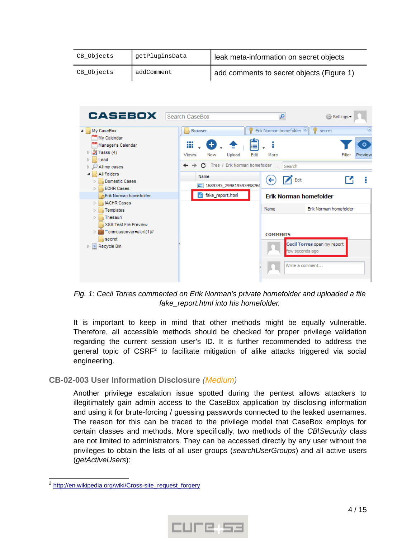| CB_Objects | getPluginsData | leak meta-information on secret objects   |
|------------|----------------|-------------------------------------------|
| CB_Objects | addComment     | add comments to secret objects (Figure 1) |



*Fig. 1: Cecil Torres commented on Erik Norman's private homefolder and uploaded a file fake\_report.html into his homefolder.*

It is important to keep in mind that other methods might be equally vulnerable. Therefore, all accessible methods should be checked for proper privilege validation regarding the current session user's ID. It is further recommended to address the general topic of  $\mathsf{CSRF}^2$  $\mathsf{CSRF}^2$  to facilitate mitigation of alike attacks triggered via social engineering.

## <span id="page-3-0"></span>**CB-02-003 User Information Disclosure** *(Medium)*

Another privilege escalation issue spotted during the pentest allows attackers to illegitimately gain admin access to the CaseBox application by disclosing information and using it for brute-forcing / guessing passwords connected to the leaked usernames. The reason for this can be traced to the privilege model that CaseBox employs for certain classes and methods. More specifically, two methods of the *CB\Security* class are not limited to administrators. They can be accessed directly by any user without the privileges to obtain the lists of all user groups (*searchUserGroups*) and all active users (*getActiveUsers*):



<span id="page-3-1"></span><sup>&</sup>lt;sup>2</sup> http://en.wikipedia.org/wiki/Cross-site\_request\_forgery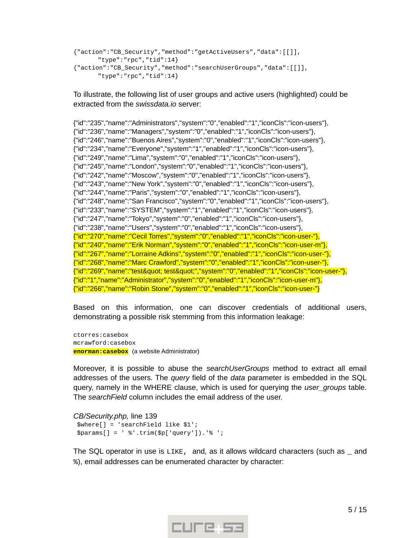```
{"action":"CB_Security","method":"getActiveUsers","data":[[]],
      "type":"rpc","tid":14}
{"action":"CB_Security","method":"searchUserGroups","data":[[]],
      "type":"rpc","tid":14}
```
To illustrate, the following list of user groups and active users (highlighted) could be extracted from the *swissdata.io* server:

{"id":"235","name":"Administrators","system":"0","enabled":"1","iconCls":"icon-users"}, {"id":"236","name":"Managers","system":"0","enabled":"1","iconCls":"icon-users"}, {"id":"246","name":"Buenos Aires","system":"0","enabled":"1","iconCls":"icon-users"}, {"id":"234","name":"Everyone","system":"1","enabled":"1","iconCls":"icon-users"}, {"id":"249","name":"Lima","system":"0","enabled":"1","iconCls":"icon-users"}, {"id":"245","name":"London","system":"0","enabled":"1","iconCls":"icon-users"}, {"id":"242","name":"Moscow","system":"0","enabled":"1","iconCls":"icon-users"}, {"id":"243","name":"New York","system":"0","enabled":"1","iconCls":"icon-users"}, {"id":"244","name":"Paris","system":"0","enabled":"1","iconCls":"icon-users"}, {"id":"248","name":"San Francisco","system":"0","enabled":"1","iconCls":"icon-users"}, {"id":"233","name":"SYSTEM","system":"1","enabled":"1","iconCls":"icon-users"}, {"id":"247","name":"Tokyo","system":"0","enabled":"1","iconCls":"icon-users"}, {"id":"238","name":"Users","system":"0","enabled":"1","iconCls":"icon-users"}, {"id":"270","name":"Cecil Torres","system":"0","enabled":"1","iconCls":"icon-user-"}, {"id":"240","name":"Erik Norman","system":"0","enabled":"1","iconCls":"icon-user-m"}, {"id":"267","name":"Lorraine Adkins","system":"0","enabled":"1","iconCls":"icon-user-"}, {"id":"268","name":"Marc Crawford","system":"0","enabled":"1","iconCls":"icon-user-"}, {"id":"269","name":"test" test"","system":"0","enabled":"1","iconCls":"icon-user-"}, {"id":"1","name":"Administrator","system":"0","enabled":"1","iconCls":"icon-user-m"}, {"id":"266","name":"Robin Stone","system":"0","enabled":"1","iconCls":"icon-user-"}

Based on this information, one can discover credentials of additional users, demonstrating a possible risk stemming from this information leakage:

ctorres:casebox mcrawford:casebox **enorman:casebox** (a website Administrator)

Moreover, it is possible to abuse the *searchUserGroups* method to extract all email addresses of the users. The *query* field of the *data* parameter is embedded in the SQL query, namely in the WHERE clause, which is used for querying the *user\_groups* table. The *searchField* column includes the email address of the user.

# *CB/Security.php,* line 139

 \$where[] = 'searchField like \$1';  $\text{sparams}$  = ' %'.trim(\$p['query']).'%';

The SQL operator in use is LIKE, and, as it allows wildcard characters (such as \_ and %), email addresses can be enumerated character by character:

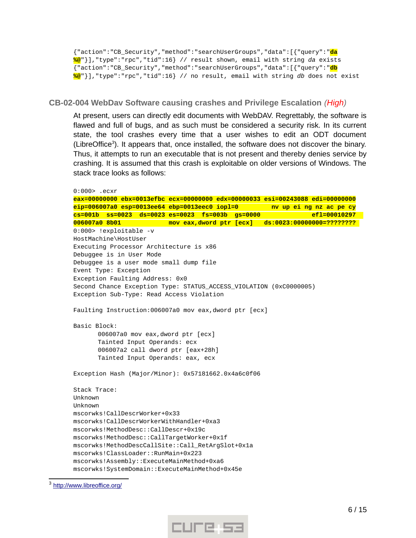{"action":"CB\_Security","method":"searchUserGroups","data":[{"query":"**da %@**"}],"type":"rpc","tid":16} // result shown, email with string *da* exists {"action":"CB\_Security","method":"searchUserGroups","data":[{"query":"**db %@**"}],"type":"rpc","tid":16} // no result, email with string *db* does not exist

<span id="page-5-0"></span>**CB-02-004 WebDav Software causing crashes and Privilege Escalation** *(High)*

At present, users can directly edit documents with WebDAV. Regrettably, the software is flawed and full of bugs, and as such must be considered a security risk. In its current state, the tool crashes every time that a user wishes to edit an ODT document (LibreOffice<sup>[3](#page-5-1)</sup>). It appears that, once installed, the software does not discover the binary. Thus, it attempts to run an executable that is not present and thereby denies service by crashing. It is assumed that this crash is exploitable on older versions of Windows. The stack trace looks as follows:

0:000> .ecxr **eax=00000000 ebx=0013efbc ecx=00000000 edx=00000033 esi=00243088 edi=00000000 eip=006007a0 esp=0013ee64 ebp=0013eec0 iopl=0 nv up ei ng nz ac pe cy cs=001b ss=0023 ds=0023 es=0023 fs=003b gs=0000 efl=00010297 006007a0 8b01 mov eax,dword ptr [ecx] ds:0023:00000000=????????**  0:000> !exploitable -v HostMachine\HostUser Executing Processor Architecture is x86 Debuggee is in User Mode Debuggee is a user mode small dump file Event Type: Exception Exception Faulting Address: 0x0 Second Chance Exception Type: STATUS\_ACCESS\_VIOLATION (0xC0000005) Exception Sub-Type: Read Access Violation Faulting Instruction:006007a0 mov eax,dword ptr [ecx] Basic Block: 006007a0 mov eax,dword ptr [ecx] Tainted Input Operands: ecx 006007a2 call dword ptr [eax+28h] Tainted Input Operands: eax, ecx Exception Hash (Major/Minor): 0x57181662.0x4a6c0f06 Stack Trace: Unknown Unknown mscorwks!CallDescrWorker+0x33 mscorwks!CallDescrWorkerWithHandler+0xa3 mscorwks!MethodDesc::CallDescr+0x19c mscorwks!MethodDesc::CallTargetWorker+0x1f mscorwks!MethodDescCallSite::Call\_RetArgSlot+0x1a mscorwks!ClassLoader::RunMain+0x223 mscorwks!Assembly::ExecuteMainMethod+0xa6 mscorwks!SystemDomain::ExecuteMainMethod+0x45e



<span id="page-5-1"></span><sup>&</sup>lt;sup>3</sup> http://www.libreoffice.org/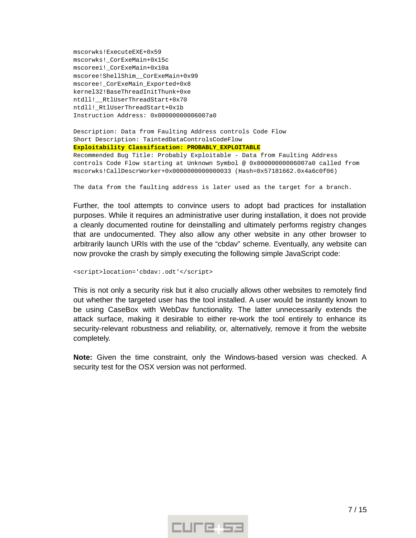mscorwks!ExecuteEXE+0x59 mscorwks!\_CorExeMain+0x15c mscoreei!\_CorExeMain+0x10a mscoree!ShellShim\_\_CorExeMain+0x99 mscoree! CorExeMain Exported+0x8 kernel32!BaseThreadInitThunk+0xe ntdll!\_\_RtlUserThreadStart+0x70 ntdll!\_RtlUserThreadStart+0x1b Instruction Address: 0x00000000006007a0

Description: Data from Faulting Address controls Code Flow Short Description: TaintedDataControlsCodeFlow **Exploitability Classification: PROBABLY\_EXPLOITABLE**

Recommended Bug Title: Probably Exploitable - Data from Faulting Address controls Code Flow starting at Unknown Symbol @ 0x00000000006007a0 called from mscorwks!CallDescrWorker+0x0000000000000033 (Hash=0x57181662.0x4a6c0f06)

The data from the faulting address is later used as the target for a branch.

Further, the tool attempts to convince users to adopt bad practices for installation purposes. While it requires an administrative user during installation, it does not provide a cleanly documented routine for deinstalling and ultimately performs registry changes that are undocumented. They also allow any other website in any other browser to arbitrarily launch URIs with the use of the "cbdav" scheme. Eventually, any website can now provoke the crash by simply executing the following simple JavaScript code:

```
<script>location='cbdav:.odt'</script>
```
This is not only a security risk but it also crucially allows other websites to remotely find out whether the targeted user has the tool installed. A user would be instantly known to be using CaseBox with WebDav functionality. The latter unnecessarily extends the attack surface, making it desirable to either re-work the tool entirely to enhance its security-relevant robustness and reliability, or, alternatively, remove it from the website completely.

**Note:** Given the time constraint, only the Windows-based version was checked. A security test for the OSX version was not performed.

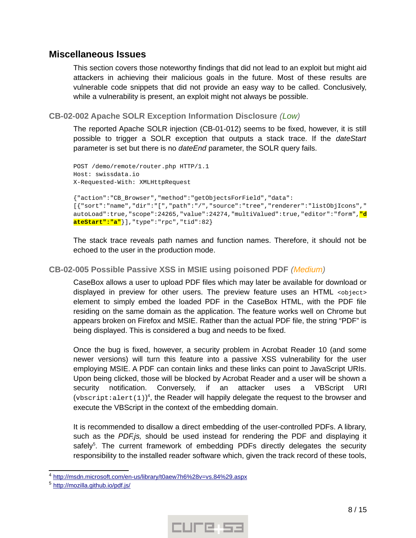# <span id="page-7-2"></span>**Miscellaneous Issues**

This section covers those noteworthy findings that did not lead to an exploit but might aid attackers in achieving their malicious goals in the future. Most of these results are vulnerable code snippets that did not provide an easy way to be called. Conclusively, while a vulnerability is present, an exploit might not always be possible.

<span id="page-7-1"></span>**CB-02-002 Apache SOLR Exception Information Disclosure** *(Low)*

The reported Apache SOLR injection (CB-01-012) seems to be fixed, however, it is still possible to trigger a SOLR exception that outputs a stack trace. If the *dateStart* parameter is set but there is no *dateEnd* parameter, the SOLR query fails.

```
POST /demo/remote/router.php HTTP/1.1
Host: swissdata.io
X-Requested-With: XMLHttpRequest
{"action":"CB_Browser","method":"getObjectsForField","data":
[{"sort":"name","dir":"[","path":"/","source":"tree","renderer":"listObjIcons","
autoLoad":true,"scope":24265,"value":24274,"multiValued":true,"editor":"form","d
ateStart":"a"}],"type":"rpc","tid":82}
```
The stack trace reveals path names and function names. Therefore, it should not be echoed to the user in the production mode.

## <span id="page-7-0"></span>**CB-02-005 Possible Passive XSS in MSIE using poisoned PDF** *(Medium)*

CaseBox allows a user to upload PDF files which may later be available for download or displayed in preview for other users. The preview feature uses an HTML <object> element to simply embed the loaded PDF in the CaseBox HTML, with the PDF file residing on the same domain as the application. The feature works well on Chrome but appears broken on Firefox and MSIE. Rather than the actual PDF file, the string "PDF" is being displayed. This is considered a bug and needs to be fixed.

Once the bug is fixed, however, a security problem in Acrobat Reader 10 (and some newer versions) will turn this feature into a passive XSS vulnerability for the user employing MSIE. A PDF can contain links and these links can point to JavaScript URIs. Upon being clicked, those will be blocked by Acrobat Reader and a user will be shown a security notification. Conversely, if an attacker uses a VBScript URI (vbscript: alert(1))<sup>[4](#page-7-3)</sup>, the Reader will happily delegate the request to the browser and execute the VBScript in the context of the embedding domain.

It is recommended to disallow a direct embedding of the user-controlled PDFs. A library, such as the *PDF.js,* should be used instead for rendering the PDF and displaying it safely<sup>[5](#page-7-4)</sup>. The current framework of embedding PDFs directly delegates the security responsibility to the installed reader software which, given the track record of these tools,



<span id="page-7-3"></span><sup>&</sup>lt;sup>4</sup> http://msdn.microsoft.com/en-us/library/t0aew7h6%28v=vs.84%29.aspx

<span id="page-7-4"></span><sup>&</sup>lt;sup>5</sup> http://mozilla.github.io/pdf.js/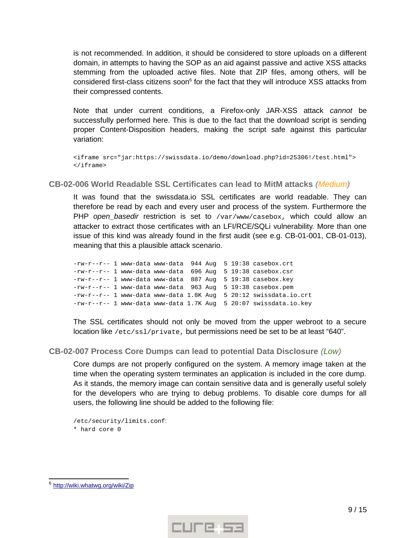is not recommended. In addition, it should be considered to store uploads on a different domain, in attempts to having the SOP as an aid against passive and active XSS attacks stemming from the uploaded active files. Note that ZIP files, among others, will be considered first-class citizens soon $^6$  $^6$  for the fact that they will introduce XSS attacks from their compressed contents.

Note that under current conditions, a Firefox-only JAR-XSS attack *cannot* be successfully performed here. This is due to the fact that the download script is sending proper Content-Disposition headers, making the script safe against this particular variation:

<iframe src="jar:https://swissdata.io/demo/download.php?id=25306!/test.html"> </iframe>

<span id="page-8-1"></span>**CB-02-006 World Readable SSL Certificates can lead to MitM attacks** *(Medium)*

It was found that the swissdata.io SSL certificates are world readable. They can therefore be read by each and every user and process of the system. Furthermore the PHP *open\_basedir* restriction is set to /var/www/casebox, which could allow an attacker to extract those certificates with an LFI/RCE/SQLi vulnerability. More than one issue of this kind was already found in the first audit (see e.g. CB-01-001, CB-01-013), meaning that this a plausible attack scenario.

-rw-r--r-- 1 www-data www-data 944 Aug 5 19:38 casebox.crt -rw-r--r-- 1 www-data www-data 696 Aug 5 19:38 casebox.csr -rw-r--r-- 1 www-data www-data 887 Aug 5 19:38 casebox.key -rw-r--r-- 1 www-data www-data 963 Aug 5 19:38 casebox.pem -rw-r--r-- 1 www-data www-data 1.8K Aug 5 20:12 swissdata.io.crt -rw-r--r-- 1 www-data www-data 1.7K Aug 5 20:07 swissdata.io.key

The SSL certificates should not only be moved from the upper webroot to a secure location like /etc/ssl/private, but permissions need be set to be at least "640".

## <span id="page-8-0"></span>**CB-02-007 Process Core Dumps can lead to potential Data Disclosure** *(Low)*

Core dumps are not properly configured on the system. A memory image taken at the time when the operating system terminates an application is included in the core dump. As it stands, the memory image can contain sensitive data and is generally useful solely for the developers who are trying to debug problems. To disable core dumps for all users, the following line should be added to the following file:

/etc/security/limits.conf: \* hard core 0



<span id="page-8-2"></span><sup>&</sup>lt;sup>6</sup> http://wiki.whatwg.org/wiki/Zip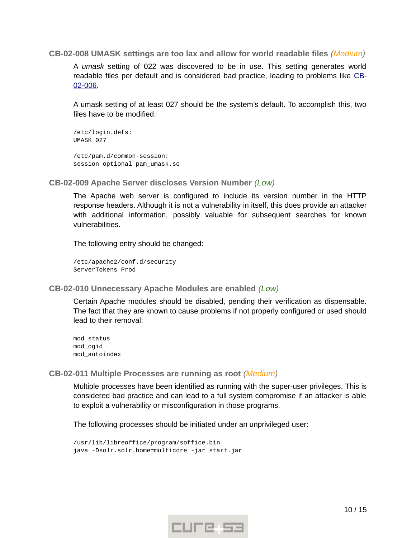#### <span id="page-9-3"></span>**CB-02-008 UMASK settings are too lax and allow for world readable files** *(Medium)*

A *umask* setting of 022 was discovered to be in use. This setting generates world readable files per default and is considered bad practice, leading to problems like [CB-](#page-8-1)[02-006.](#page-8-1)

A umask setting of at least 027 should be the system's default. To accomplish this, two files have to be modified:

```
/etc/login.defs:
UMASK 027
/etc/pam.d/common-session:
session optional pam_umask.so
```
<span id="page-9-2"></span>**CB-02-009 Apache Server discloses Version Number** *(Low)*

The Apache web server is configured to include its version number in the HTTP response headers. Although it is not a vulnerability in itself, this does provide an attacker with additional information, possibly valuable for subsequent searches for known vulnerabilities.

The following entry should be changed:

/etc/apache2/conf.d/security ServerTokens Prod

<span id="page-9-1"></span>**CB-02-010 Unnecessary Apache Modules are enabled** *(Low)*

Certain Apache modules should be disabled, pending their verification as dispensable. The fact that they are known to cause problems if not properly configured or used should lead to their removal:

mod\_status mod\_cgid mod\_autoindex

<span id="page-9-0"></span>**CB-02-011 Multiple Processes are running as root** *(Medium)*

Multiple processes have been identified as running with the super-user privileges. This is considered bad practice and can lead to a full system compromise if an attacker is able to exploit a vulnerability or misconfiguration in those programs.

The following processes should be initiated under an unprivileged user:

/usr/lib/libreoffice/program/soffice.bin java -Dsolr.solr.home=multicore -jar start.jar

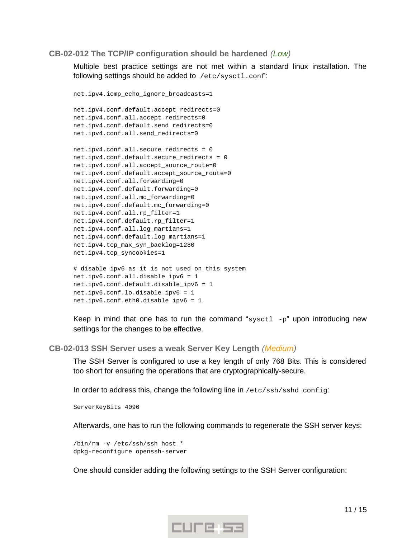#### <span id="page-10-1"></span>**CB-02-012 The TCP/IP configuration should be hardened** *(Low)*

Multiple best practice settings are not met within a standard linux installation. The following settings should be added to /etc/sysctl.conf:

```
net.ipv4.icmp_echo_ignore_broadcasts=1
net.ipv4.conf.default.accept_redirects=0
net.ipv4.conf.all.accept_redirects=0
net.ipv4.conf.default.send_redirects=0
net.ipv4.conf.all.send_redirects=0
net.ipv4.conf.all.secure_redirects = 0 
net.ipv4.conf.default.secure_redirects = 0 
net.ipv4.conf.all.accept_source_route=0
net.ipv4.conf.default.accept_source_route=0
net.ipv4.conf.all.forwarding=0
net.ipv4.conf.default.forwarding=0
net.ipv4.conf.all.mc_forwarding=0
net.ipv4.conf.default.mc_forwarding=0
net.ipv4.conf.all.rp_filter=1
net.ipv4.conf.default.rp_filter=1
net.ipv4.conf.all.log_martians=1
net.ipv4.conf.default.log_martians=1
net.ipv4.tcp_max_syn_backlog=1280
net.ipv4.tcp_syncookies=1
# disable ipv6 as it is not used on this system
```

```
net.ipv6.conf.all.disable_ipv6 = 1
net.ipv6.conf.default.disable_ipv6 = 1
net.ipv6.conf.lo.disable_ipv6 = 1
net.ipv6.conf.eth0.disable_ipv6 = 1
```
Keep in mind that one has to run the command "sysct1  $-p$ " upon introducing new settings for the changes to be effective.

#### <span id="page-10-0"></span>**CB-02-013 SSH Server uses a weak Server Key Length** *(Medium)*

The SSH Server is configured to use a key length of only 768 Bits. This is considered too short for ensuring the operations that are cryptographically-secure.

In order to address this, change the following line in /etc/ssh/sshd\_config:

ServerKeyBits 4096

Afterwards, one has to run the following commands to regenerate the SSH server keys:

/bin/rm -v /etc/ssh/ssh\_host\_\* dpkg-reconfigure openssh-server

One should consider adding the following settings to the SSH Server configuration:

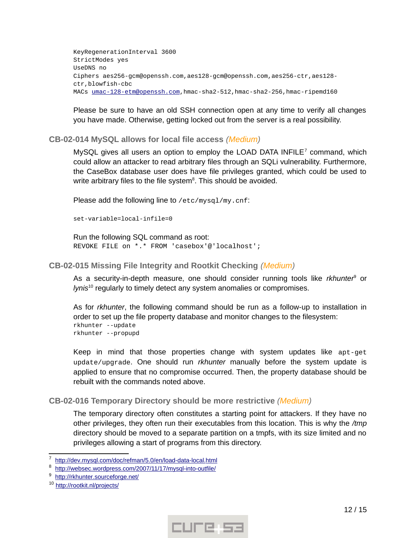KeyRegenerationInterval 3600 StrictModes yes UseDNS no Ciphers aes256-gcm@openssh.com,aes128-gcm@openssh.com,aes256-ctr,aes128 ctr,blowfish-cbc MACs umac-128-etm@openssh.com,hmac-sha2-512,hmac-sha2-256,hmac-ripemd160

Please be sure to have an old SSH connection open at any time to verify all changes you have made. Otherwise, getting locked out from the server is a real possibility.

## <span id="page-11-2"></span>**CB-02-014 MySQL allows for local file access** *(Medium)*

MySQL gives all users an option to employ the LOAD DATA INFILE<sup>[7](#page-11-3)</sup> command, which could allow an attacker to read arbitrary files through an SQLi vulnerability. Furthermore, the CaseBox database user does have file privileges granted, which could be used to write arbitrary files to the file system<sup>[8](#page-11-4)</sup>. This should be avoided.

Please add the following line to /etc/mysql/my.cnf:

set-variable=local-infile=0

Run the following SQL command as root: REVOKE FILE on \*.\* FROM 'casebox'@'localhost';

#### <span id="page-11-1"></span>**CB-02-015 Missing File Integrity and Rootkit Checking** *(Medium)*

As a security-in-depth measure, one should consider running tools like rkhunter<sup>[9](#page-11-5)</sup> or *lynis*[10](#page-11-6) regularly to timely detect any system anomalies or compromises.

As for *rkhunter*, the following command should be run as a follow-up to installation in order to set up the file property database and monitor changes to the filesystem: rkhunter --update rkhunter --propupd

Keep in mind that those properties change with system updates like apt-get update/upgrade. One should run *rkhunter* manually before the system update is applied to ensure that no compromise occurred. Then, the property database should be rebuilt with the commands noted above.

#### <span id="page-11-0"></span>**CB-02-016 Temporary Directory should be more restrictive** *(Medium)*

The temporary directory often constitutes a starting point for attackers. If they have no other privileges, they often run their executables from this location. This is why the */tmp* directory should be moved to a separate partition on a tmpfs, with its size limited and no privileges allowing a start of programs from this directory.



<span id="page-11-3"></span><sup>7</sup> http://dev.mysql.com/doc/refman/5.0/en/load-data-local.html

<span id="page-11-4"></span><sup>8</sup> http://websec.wordpress.com/2007/11/17/mysql-into-outfile/

<span id="page-11-5"></span><sup>9</sup> http://rkhunter.sourceforge.net/

<span id="page-11-6"></span><sup>&</sup>lt;sup>10</sup> http://rootkit.nl/projects/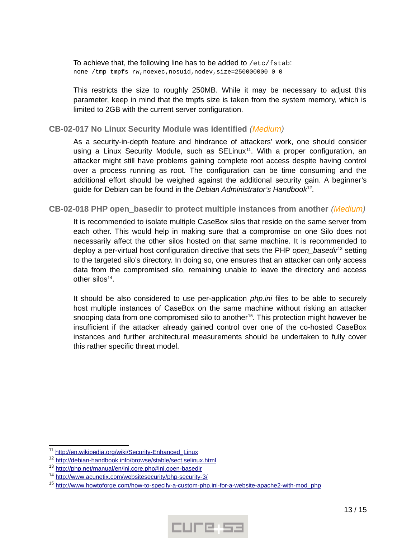To achieve that, the following line has to be added to /etc/fstab: none /tmp tmpfs rw,noexec,nosuid,nodev,size=250000000 0 0

This restricts the size to roughly 250MB. While it may be necessary to adjust this parameter, keep in mind that the tmpfs size is taken from the system memory, which is limited to 2GB with the current server configuration.

#### <span id="page-12-1"></span>**CB-02-017 No Linux Security Module was identified** *(Medium)*

As a security-in-depth feature and hindrance of attackers' work, one should consider using a Linux Security Module, such as  $SELinux^{11}$  $SELinux^{11}$  $SELinux^{11}$ . With a proper configuration, an attacker might still have problems gaining complete root access despite having control over a process running as root. The configuration can be time consuming and the additional effort should be weighed against the additional security gain. A beginner's guide for Debian can be found in the *Debian Administrator's Handbook*[12](#page-12-3) .

### <span id="page-12-0"></span>**CB-02-018 PHP open\_basedir to protect multiple instances from another** *(Medium)*

It is recommended to isolate multiple CaseBox silos that reside on the same server from each other. This would help in making sure that a compromise on one Silo does not necessarily affect the other silos hosted on that same machine. It is recommended to deploy a per-virtual host configuration directive that sets the PHP *open\_basedir*[13](#page-12-4) setting to the targeted silo's directory. In doing so, one ensures that an attacker can only access data from the compromised silo, remaining unable to leave the directory and access other silos $^{14}$  $^{14}$  $^{14}$ .

It should be also considered to use per-application *php.ini* files to be able to securely host multiple instances of CaseBox on the same machine without risking an attacker snooping data from one compromised silo to another<sup>[15](#page-12-6)</sup>. This protection might however be insufficient if the attacker already gained control over one of the co-hosted CaseBox instances and further architectural measurements should be undertaken to fully cover this rather specific threat model.



<span id="page-12-2"></span><sup>&</sup>lt;sup>11</sup> http://en.wikipedia.org/wiki/Security-Enhanced\_Linux

<span id="page-12-3"></span><sup>&</sup>lt;sup>12</sup> http://debian-handbook.info/browse/stable/sect.selinux.html

<span id="page-12-4"></span><sup>&</sup>lt;sup>13</sup> http://php.net/manual/en/ini.core.php#ini.open-basedir

<span id="page-12-5"></span><sup>&</sup>lt;sup>14</sup> http://www.acunetix.com/websitesecurity/php-security-3/

<span id="page-12-6"></span><sup>&</sup>lt;sup>15</sup> http://www.howtoforge.com/how-to-specify-a-custom-php.ini-for-a-website-apache2-with-mod\_php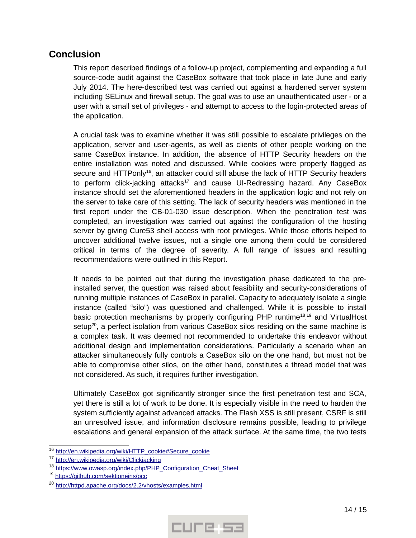# <span id="page-13-0"></span>**Conclusion**

This report described findings of a follow-up project, complementing and expanding a full source-code audit against the CaseBox software that took place in late June and early July 2014. The here-described test was carried out against a hardened server system including SELinux and firewall setup. The goal was to use an unauthenticated user - or a user with a small set of privileges - and attempt to access to the login-protected areas of the application.

A crucial task was to examine whether it was still possible to escalate privileges on the application, server and user-agents, as well as clients of other people working on the same CaseBox instance. In addition, the absence of HTTP Security headers on the entire installation was noted and discussed. While cookies were properly flagged as secure and  $HTTPonly<sup>16</sup>$  $HTTPonly<sup>16</sup>$  $HTTPonly<sup>16</sup>$ , an attacker could still abuse the lack of HTTP Security headers to perform click-jacking attacks<sup>[17](#page-13-2)</sup> and cause UI-Redressing hazard. Any CaseBox instance should set the aforementioned headers in the application logic and not rely on the server to take care of this setting. The lack of security headers was mentioned in the first report under the CB-01-030 issue description. When the penetration test was completed, an investigation was carried out against the configuration of the hosting server by giving Cure53 shell access with root privileges. While those efforts helped to uncover additional twelve issues, not a single one among them could be considered critical in terms of the degree of severity. A full range of issues and resulting recommendations were outlined in this Report.

It needs to be pointed out that during the investigation phase dedicated to the preinstalled server, the question was raised about feasibility and security-considerations of running multiple instances of CaseBox in parallel. Capacity to adequately isolate a single instance (called "silo") was questioned and challenged. While it is possible to install basic protection mechanisms by properly configuring PHP runtime<sup>[18](#page-13-3)</sup>,<sup>[19](#page-13-4)</sup> and VirtualHost setup<sup>[20](#page-13-5)</sup>, a perfect isolation from various CaseBox silos residing on the same machine is a complex task. It was deemed not recommended to undertake this endeavor without additional design and implementation considerations. Particularly a scenario when an attacker simultaneously fully controls a CaseBox silo on the one hand, but must not be able to compromise other silos, on the other hand, constitutes a thread model that was not considered. As such, it requires further investigation.

Ultimately CaseBox got significantly stronger since the first penetration test and SCA, yet there is still a lot of work to be done. It is especially visible in the need to harden the system sufficiently against advanced attacks. The Flash XSS is still present, CSRF is still an unresolved issue, and information disclosure remains possible, leading to privilege escalations and general expansion of the attack surface. At the same time, the two tests



<span id="page-13-1"></span><sup>&</sup>lt;sup>16</sup> http://en.wikipedia.org/wiki/HTTP\_cookie#Secure\_cookie

<span id="page-13-2"></span><sup>&</sup>lt;sup>17</sup> http://en.wikipedia.org/wiki/Clickjacking

<span id="page-13-3"></span><sup>&</sup>lt;sup>18</sup> https://www.owasp.org/index.php/PHP\_Configuration\_Cheat\_Sheet

<span id="page-13-4"></span><sup>19</sup> <https://github.com/sektioneins/pcc>

<span id="page-13-5"></span><sup>&</sup>lt;sup>20</sup> http://httpd.apache.org/docs/2.2/vhosts/examples.html